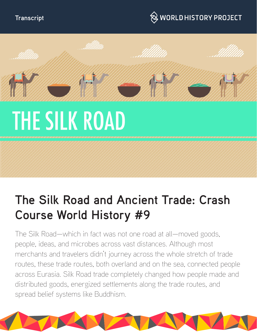# $\hspace{0.1cm}\otimes\hspace{0.1cm}$  WORLD HISTORY PROJECT



# **The Silk Road and Ancient Trade: Crash Course World History #9**

The Silk Road—which in fact was not one road at all—moved goods, people, ideas, and microbes across vast distances. Although most merchants and travelers didn't journey across the whole stretch of trade routes, these trade routes, both overland and on the sea, connected people across Eurasia. Silk Road trade completely changed how people made and distributed goods, energized settlements along the trade routes, and spread belief systems like Buddhism.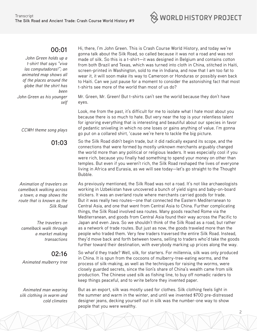

*John Green holds up a t-shirt that says "viva las computadoras!"; an animated map shows all of the places around the globe that the shirt has been John Green as his younger self*

*CCWH theme song plays*

**01:03**

*Animation of travelers on camelback walking across a town; a map shows the route that is known as the Silk Road*

*The travelers on camelback walk through a market making transactions*

#### **02:16**

*Animated mulberry tree*

*Animated man wearing silk clothing in warm and cold climates* Hi, there, I'm John Green. This is Crash Course World History, and today we're gonna talk about the Silk Road, so called because it was not a road and was not made of silk. So this is a t-shirt—it was designed in Belgium and contains cotton from both Brazil and Texas, which was turned into cloth in China, stitched in Haiti, screen-printed in Washington, sold to me in Indiana, and now that I am too fat to wear it, it will soon make its way to Cameroon or Honduras or possibly even back to Haiti. Can we just pause for a moment to consider the astonishing fact that most t-shirts see more of the world than most of us do?

Mr. Green, Mr. Green! But t-shirts can't see the world because they don't have eyes.

Look, me from the past, it's difficult for me to isolate what I hate most about you because there is so much to hate. But very near the top is your relentless talent for ignoring everything that is interesting and beautiful about our species in favor of pedantic sniveling in which no one loses or gains anything of value. I'm gonna go put on a collared shirt, 'cause we're here to tackle the big picture.

So the Silk Road didn't begin trade, but it did radically expand its scope, and the connections that were formed by mostly unknown merchants arguably changed the world more than any political or religious leaders. It was especially cool if you were rich, because you finally had something to spend your money on other than temples. But even if you weren't rich, the Silk Road reshaped the lives of everyone living in Africa and Eurasia, as we will see today—let's go straight to the Thought Bubble.

As previously mentioned, the Silk Road was not a road. It's not like archaeologists working in Uzbekistan have uncovered a bunch of yield signs and baby-on-board stickers. It was an overland route where merchants carried goods for trade. But it was really two routes—one that connected the Eastern Mediterranean to Central Asia, and one that went from Central Asia to China. Further complicating things, the Silk Road involved sea routes. Many goods reached Rome via the Mediterranean, and goods from Central Asia found their way across the Pacific to Japan and even Java. So we shouldn't think of the Silk Road as a road, but rather as a network of trade routes. But just as now, the goods traveled more than the people who traded them. Very few traders traversed the entire Silk Road. Instead, they'd move back and forth between towns, selling to traders who'd take the goods further toward their destination, with everybody marking up prices along the way.

So what'd they trade? Well, silk, for starters. For millennia, silk was only produced in China. It is spun from the cocoons of mulberry-tree-eating worms, and the process of silk-making, as well as the techniques for raising the worms, were closely guarded secrets, since the lion's share of China's wealth came from silk production. The Chinese used silk as fishing line, to buy off nomadic raiders to keep things peaceful, and to write before they invented paper.

But as an export, silk was mostly used for clothes. Silk clothing feels light in the summer and warm in the winter, and until we invented \$700 pre-distressed designer jeans, decking yourself out in silk was the number-one way to show people that you were wealthy.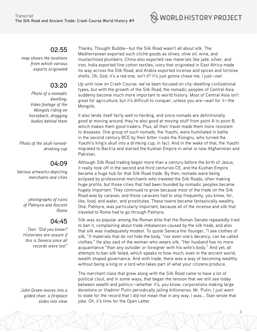

*map shows the locations from which various exports originated*

## **03:20**

*Photo of a nomadic dwelling; Video footage of the Mongols riding on horseback, dragging bodies behind them*

*Photo of the skull-turneddrinking cup*

#### **04:09**

*Various artworks depicting merchants and cities*

> *photographs of ruins of Palmyra and Ancient Rome*

#### **04:45**

*Text: "Did you know? Historians are unsure if this is Seneca since all records were lost"* 

*John Green moves into a gilded chair, a fireplace slides into view* Thanks, Thought Bubble—but the Silk Road wasn't all about silk. The Mediterranean exported such clichè goods as olives, olive oil, wine, and mustachioed plumbers. China also exported raw materials like jade, silver, and iron, India exported fine cotton textiles, ivory that originated in East Africa made its way across the Silk Road, and Arabia exported incense and spices and tortoise shells. Oh, God, it's a red one, isn't it? It's just gonna chase me, I just—ow!

Up until now on Crash Course, we've been focused on city-dwelling civilizational types, but with the growth of the Silk Road, the nomadic peoples of Central Asia suddenly become much more important to world history. Most of Central Asia isn't great for agriculture, but it's difficult to conquer, unless you are—wait for it—the Mongols.

It also lends itself fairly well to herding, and since nomads are definitionally good at moving around, they're also good at moving stuff from point A to point B, which makes them good traders. Plus, all their travel made them more resistant to diseases. One group of such nomads, the Yuezhi, were humiliated in battle in the second century BCE by their bitter rivals the Xiongnu, who turned the Yuezhi's king's skull into a drinking cup, in fact. And in the wake of that, the Yuezhi migrated to Bactria and started the Kushan Empire in what is now Afghanistan and Pakistan.

Although Silk Road trading began more than a century before the birth of Jesus, it really took off in the second and third centuries CE, and the Kushan Empire became a huge hub for that Silk Road trade. By then, nomads were being eclipsed by professional merchants who traveled the Silk Roads, often making huge profits, but those cities that had been founded by nomadic peoples became hugely important. They continued to grow because most of the trade on the Silk Road was by caravan, and those caravans had to stop frequently, you know, for, like, food, and water, and prostitutes. These towns became fantastically wealthy. One, Palmyra, was particularly important, because all of the incense and silk that traveled to Rome had to go through Palmyra.

Silk was so popular among the Roman elite that the Roman Senate repeatedly tried to ban it, complaining about trade imbalances caused by the silk trade, and also that silk was inadequately modest. To quote Seneca the Younger, "I see clothes of silk, "if materials that do not hide the body, "nor even one's decency, can be called clothes." He also said of the woman who wears silk, "Her husband has no more acquaintance "than any outsider or foreigner with his wife's body." And yet, all attempts to ban silk failed, which speaks to how much, even in the ancient world, wealth shaped governance. And with trade, there was a way of becoming wealthy without being a king or a lord who takes part of what your citizens produce.

The merchant class that grew along with the Silk Road came to have a lot of political clout, and in some ways, that began the tension that we still see today between wealth and politics—whether it's, you know, corporations making large donations or Vladimir Putin periodically jailing billionaires. Mr. Putin, I just want to state for the record that I did not mean that in any way, I was... Stan wrote that joke. Oh, it's time for the Open Letter.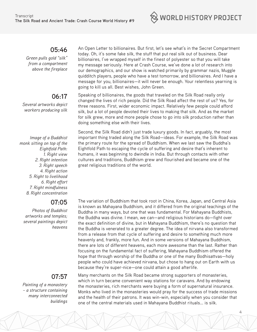

 *Green pulls gold "silk" from a compartment above the fireplace*

#### **06:17**

*Several artworks depict workers producing silk*

*Image of a Buddhist monk sitting on top of the Eightfold Path: 1. Right view 2. Right intention 3. Right speech 4. Right action 5. Right to livelihood 6. Right effort 7. Right mindfulness 8. Right concentration*

### **07:05**

*Photos of Buddhist artworks and temples; several paintings depict heavens*

#### **07:57**

*Painting of a monastery – a structure containing many interconnected buildings* An Open Letter to billionaires. But first, let's see what's in the Secret Compartment today. Oh, it's some fake silk, the stuff that put real silk out of business. Dear billionaires, I've wrapped myself in the finest of polyester so that you will take my message seriously. Here at Crash Course, we've done a lot of research into our demographics, and our show is watched primarily by grammar nazis, Muggle quidditch players, people who have a test tomorrow, and billionaires. And I have a message for you, billionaires—it will never be enough. Your relentless yearning is going to kill us all. Best wishes, John Green.

Speaking of billionaires, the goods that traveled on the Silk Road really only changed the lives of rich people. Did the Silk Road affect the rest of us? Yes, for three reasons. First, wider economic impact. Relatively few people could afford silk, but a lot of people devoted their lives to making that silk. And as the market for silk grew, more and more people chose to go into silk production rather than doing something else with their lives.

Second, the Silk Road didn't just trade luxury goods. In fact, arguably, the most important thing traded along the Silk Road—ideas. For example, the Silk Road was the primary route for the spread of Buddhism. When we last saw the Buddha's Eightfold Path to escaping the cycle of suffering and desire that's inherent to humans, it was beginning to dwindle in India. But through contacts with other cultures and traditions, Buddhism grew and flourished and became one of the great religious traditions of the world.

The variation of Buddhism that took root in China, Korea, Japan, and Central Asia is known as Mahayana Buddhism, and it differed from the original teachings of the Buddha in many ways, but one that was fundamental. For Mahayana Buddhists, the Buddha was divine. I mean, we can—and religious historians do—fight over the exact definition of divine, but in Mahayana Buddhism, there's no question that the Buddha is venerated to a greater degree. The idea of nirvana also transformed from a release from that cycle of suffering and desire to something much more heavenly and, frankly, more fun. And in some versions of Mahayana Buddhism, there are lots of different heavens, each more awesome than the last. Rather than focusing on the fundamental fact of suffering, Mahayana Buddhism offered the hope that through worship of the Buddha or one of the many Bodhisattvas—holy people who could have achieved nirvana, but chose to hang out on Earth with us because they're super-nice—one could attain a good afterlife.

Many merchants on the Silk Road became strong supporters of monasteries, which in turn became convenient way stations for caravans. And by endowing the monasteries, rich merchants were buying a form of supernatural insurance. Monks who lived in the monasteries would pray for the success of trade missions and the health of their patrons. It was win-win, especially when you consider that one of the central materials used in Mahayana Buddhist rituals... is silk.